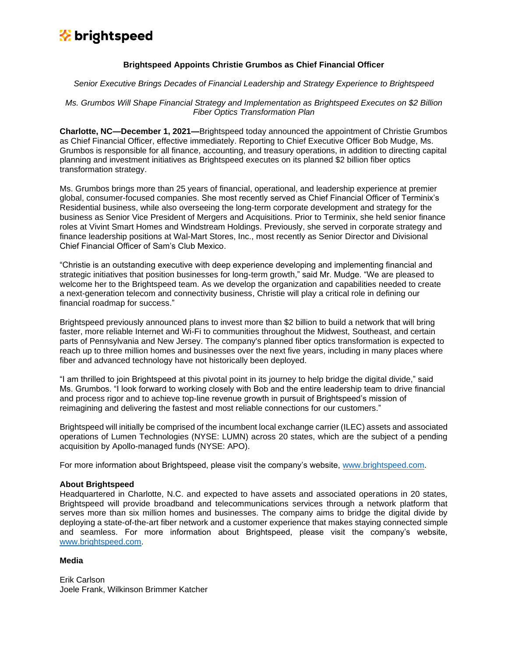# **x** brightspeed

### **Brightspeed Appoints Christie Grumbos as Chief Financial Officer**

#### *Senior Executive Brings Decades of Financial Leadership and Strategy Experience to Brightspeed*

*Ms. Grumbos Will Shape Financial Strategy and Implementation as Brightspeed Executes on \$2 Billion Fiber Optics Transformation Plan*

**Charlotte, NC—December 1, 2021—**Brightspeed today announced the appointment of Christie Grumbos as Chief Financial Officer, effective immediately. Reporting to Chief Executive Officer Bob Mudge, Ms. Grumbos is responsible for all finance, accounting, and treasury operations, in addition to directing capital planning and investment initiatives as Brightspeed executes on its planned \$2 billion fiber optics transformation strategy.

Ms. Grumbos brings more than 25 years of financial, operational, and leadership experience at premier global, consumer-focused companies. She most recently served as Chief Financial Officer of Terminix's Residential business, while also overseeing the long-term corporate development and strategy for the business as Senior Vice President of Mergers and Acquisitions. Prior to Terminix, she held senior finance roles at Vivint Smart Homes and Windstream Holdings. Previously, she served in corporate strategy and finance leadership positions at Wal-Mart Stores, Inc., most recently as Senior Director and Divisional Chief Financial Officer of Sam's Club Mexico.

"Christie is an outstanding executive with deep experience developing and implementing financial and strategic initiatives that position businesses for long-term growth," said Mr. Mudge. "We are pleased to welcome her to the Brightspeed team. As we develop the organization and capabilities needed to create a next-generation telecom and connectivity business, Christie will play a critical role in defining our financial roadmap for success."

Brightspeed previously announced plans to invest more than \$2 billion to build a network that will bring faster, more reliable Internet and Wi-Fi to communities throughout the Midwest, Southeast, and certain parts of Pennsylvania and New Jersey. The company's planned fiber optics transformation is expected to reach up to three million homes and businesses over the next five years, including in many places where fiber and advanced technology have not historically been deployed.

"I am thrilled to join Brightspeed at this pivotal point in its journey to help bridge the digital divide," said Ms. Grumbos. "I look forward to working closely with Bob and the entire leadership team to drive financial and process rigor and to achieve top-line revenue growth in pursuit of Brightspeed's mission of reimagining and delivering the fastest and most reliable connections for our customers."

Brightspeed will initially be comprised of the incumbent local exchange carrier (ILEC) assets and associated operations of Lumen Technologies (NYSE: LUMN) across 20 states, which are the subject of a pending acquisition by Apollo-managed funds (NYSE: APO).

For more information about Brightspeed, please visit the company's website, [www.brightspeed.com.](http://www.brightspeed.com/)

#### **About Brightspeed**

Headquartered in Charlotte, N.C. and expected to have assets and associated operations in 20 states, Brightspeed will provide broadband and telecommunications services through a network platform that serves more than six million homes and businesses. The company aims to bridge the digital divide by deploying a state-of-the-art fiber network and a customer experience that makes staying connected simple and seamless. For more information about Brightspeed, please visit the company's website, [www.brightspeed.com.](http://www.brightspeed.com/)

## **Media**

Erik Carlson Joele Frank, Wilkinson Brimmer Katcher